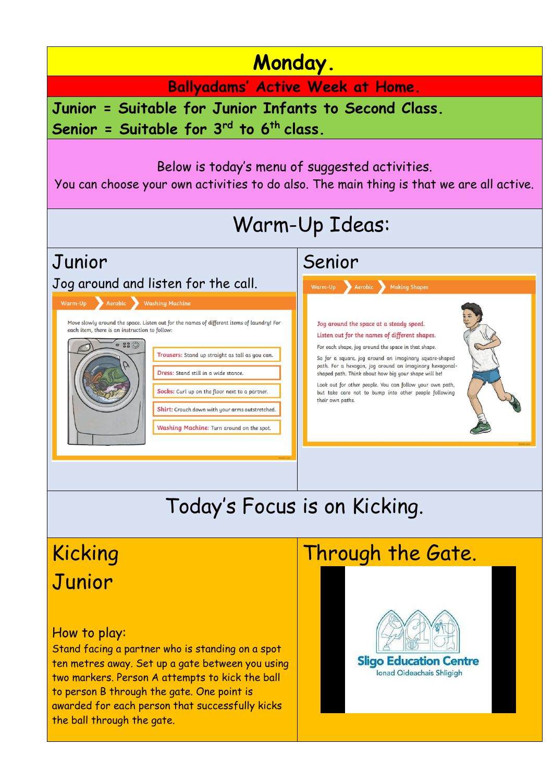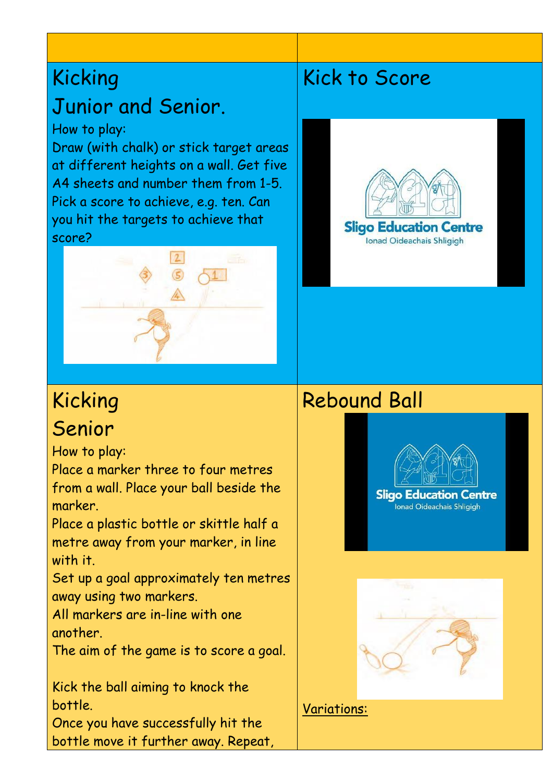# Kicking Junior and Senior.

### How to play:

Draw (with chalk) or stick target areas at different heights on a wall. Get five A4 sheets and number them from 1-5. Pick a score to achieve, e.g. ten. Can you hit the targets to achieve that score?



# Kick to Score



## Senior

Kicking

How to play:

Place a marker three to four metres from a wall. Place your ball beside the marker.

Place a plastic bottle or skittle half a metre away from your marker, in line with it.

Set up a goal approximately ten metres away using two markers.

All markers are in-line with one another.

The aim of the game is to score a goal.

Kick the ball aiming to knock the bottle.

Once you have successfully hit the bottle move it further away. Repeat,

## Rebound Ball





Variations: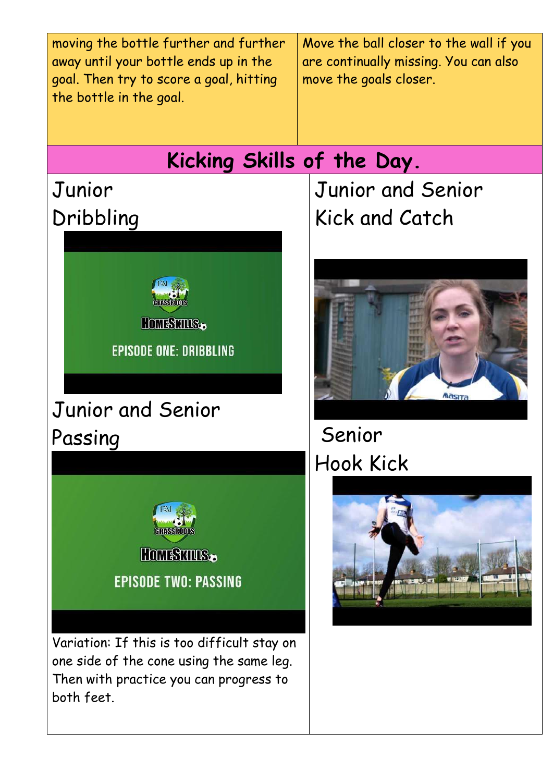| moving the bottle further and further<br>away until your bottle ends up in the<br>goal. Then try to score a goal, hitting<br>the bottle in the goal.                                                                                                                                          | Move the ball closer to the wall if you<br>are continually missing. You can also<br>move the goals closer. |
|-----------------------------------------------------------------------------------------------------------------------------------------------------------------------------------------------------------------------------------------------------------------------------------------------|------------------------------------------------------------------------------------------------------------|
| Kicking Skills of the Day.                                                                                                                                                                                                                                                                    |                                                                                                            |
| Junior                                                                                                                                                                                                                                                                                        | Junior and Senior                                                                                          |
| Dribbling                                                                                                                                                                                                                                                                                     | Kick and Catch                                                                                             |
| HomsSMUS.<br><b>EPISODE ONE: DRIBBLING</b><br>Junior and Senior<br>Passing<br>GRASSROO<br><b>HOMESWINS.</b><br><b>EPISODE TWO: PASSING</b><br>Variation: If this is too difficult stay on<br>one side of the cone using the same leg.<br>Then with practice you can progress to<br>both feet. | Senior<br><b>Hook Kick</b>                                                                                 |